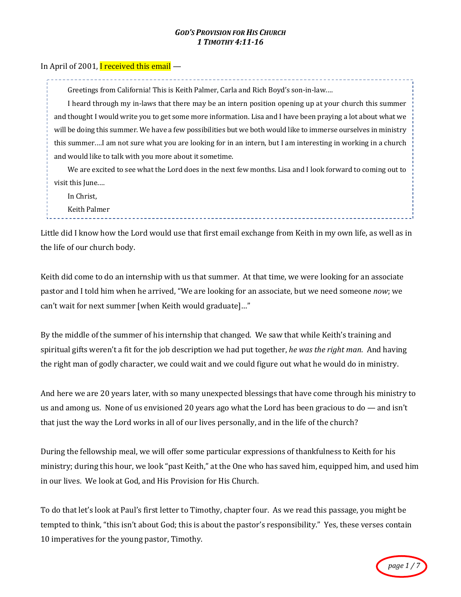#### *GOD'S PROVISION FOR HIS CHURCH 1 TIMOTHY 4:11-16*

### In April of 2001, I received this email  $-$

Greetings from California! This is Keith Palmer, Carla and Rich Boyd's son-in-law....

I heard through my in-laws that there may be an intern position opening up at your church this summer and thought I would write you to get some more information. Lisa and I have been praying a lot about what we will be doing this summer. We have a few possibilities but we both would like to immerse ourselves in ministry this summer....I am not sure what you are looking for in an intern, but I am interesting in working in a church and would like to talk with you more about it sometime.

We are excited to see what the Lord does in the next few months. Lisa and I look forward to coming out to visit this June....

In Christ,

Keith Palmer

Little did I know how the Lord would use that first email exchange from Keith in my own life, as well as in the life of our church body.

Keith did come to do an internship with us that summer. At that time, we were looking for an associate pastor and I told him when he arrived, "We are looking for an associate, but we need someone *now*; we can't wait for next summer [when Keith would graduate]..."

By the middle of the summer of his internship that changed. We saw that while Keith's training and spiritual gifts weren't a fit for the job description we had put together, *he was the right man*. And having the right man of godly character, we could wait and we could figure out what he would do in ministry.

And here we are 20 years later, with so many unexpected blessings that have come through his ministry to us and among us. None of us envisioned 20 years ago what the Lord has been gracious to  $d_0$  — and isn't that just the way the Lord works in all of our lives personally, and in the life of the church?

During the fellowship meal, we will offer some particular expressions of thankfulness to Keith for his ministry; during this hour, we look "past Keith," at the One who has saved him, equipped him, and used him in our lives. We look at God, and His Provision for His Church.

To do that let's look at Paul's first letter to Timothy, chapter four. As we read this passage, you might be tempted to think, "this isn't about God; this is about the pastor's responsibility." Yes, these verses contain 10 imperatives for the young pastor, Timothy.

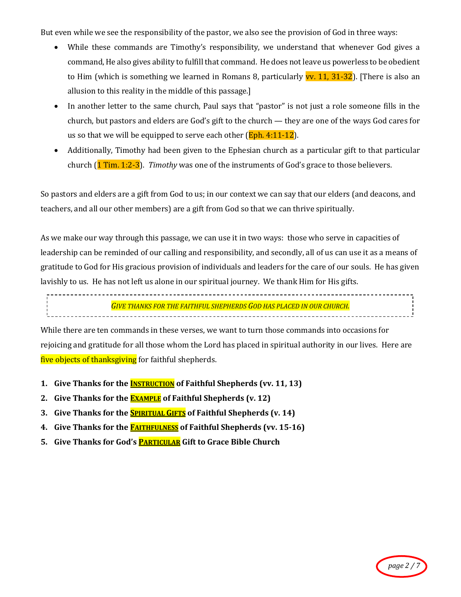But even while we see the responsibility of the pastor, we also see the provision of God in three ways:

- While these commands are Timothy's responsibility, we understand that whenever God gives a command, He also gives ability to fulfill that command. He does not leave us powerless to be obedient to Him (which is something we learned in Romans 8, particularly **vv. 11, 31-32**). [There is also an allusion to this reality in the middle of this passage.]
- In another letter to the same church, Paul says that "pastor" is not just a role someone fills in the church, but pastors and elders are God's gift to the church  $-$  they are one of the ways God cares for us so that we will be equipped to serve each other  $(Eph. 4:11-12)$ .
- Additionally, Timothy had been given to the Ephesian church as a particular gift to that particular church (1 Tim. 1:2-3). *Timothy* was one of the instruments of God's grace to those believers.

So pastors and elders are a gift from God to us; in our context we can say that our elders (and deacons, and teachers, and all our other members) are a gift from God so that we can thrive spiritually.

As we make our way through this passage, we can use it in two ways: those who serve in capacities of leadership can be reminded of our calling and responsibility, and secondly, all of us can use it as a means of gratitude to God for His gracious provision of individuals and leaders for the care of our souls. He has given lavishly to us. He has not left us alone in our spiritual journey. We thank Him for His gifts.

**GIVE THANKS FOR THE FAITHFUL SHEPHERDS GOD HAS PLACED IN OUR CHURCH.** 

While there are ten commands in these verses, we want to turn those commands into occasions for rejoicing and gratitude for all those whom the Lord has placed in spiritual authority in our lives. Here are five objects of thanksgiving for faithful shepherds.

- **1.** Give Thanks for the **INSTRUCTION** of Faithful Shepherds (vv. 11, 13)
- 2. Give Thanks for the **EXAMPLE** of Faithful Shepherds (v. 12)
- **3.** Give Thanks for the **SPIRITUAL GIFTS** of Faithful Shepherds (v. 14)
- 4. Give Thanks for the **FAITHFULNESS** of Faithful Shepherds (vv. 15-16)
- 5. Give Thanks for God's **PARTICULAR** Gift to Grace Bible Church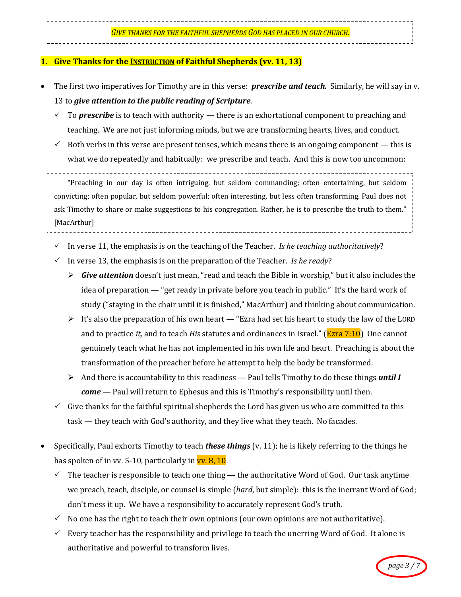#### **1.** Give Thanks for the **INSTRUCTION** of Faithful Shepherds (vv. 11, 13)

- The first two imperatives for Timothy are in this verse: *prescribe and teach.* Similarly, he will say in v. 13 to *give* attention to the public reading of Scripture.
	- To **prescribe** is to teach with authority there is an exhortational component to preaching and teaching. We are not just informing minds, but we are transforming hearts, lives, and conduct.
	- $\checkmark$  Both verbs in this verse are present tenses, which means there is an ongoing component this is what we do repeatedly and habitually: we prescribe and teach. And this is now too uncommon:

"Preaching in our day is often intriguing, but seldom commanding; often entertaining, but seldom convicting; often popular, but seldom powerful; often interesting, but less often transforming. Paul does not ask Timothy to share or make suggestions to his congregation. Rather, he is to prescribe the truth to them." [MacArthur]

- In verse 11, the emphasis is on the teaching of the Teacher. *Is he teaching authoritatively*?
- In verse 13, the emphasis is on the preparation of the Teacher. *Is he ready*?
	- $\triangleright$  *Give attention* doesn't just mean, "read and teach the Bible in worship," but it also includes the idea of preparation — "get ready in private before you teach in public." It's the hard work of study ("staying in the chair until it is finished," MacArthur) and thinking about communication.
	- $\triangleright$  It's also the preparation of his own heart "Ezra had set his heart to study the law of the LORD and to practice *it*, and to teach *His* statutes and ordinances in Israel." (**Ezra** 7:10) One cannot genuinely teach what he has not implemented in his own life and heart. Preaching is about the transformation of the preacher before he attempt to help the body be transformed.
	- $\triangleright$  And there is accountability to this readiness Paul tells Timothy to do these things *until I come* — Paul will return to Ephesus and this is Timothy's responsibility until then.
- $\checkmark$  Give thanks for the faithful spiritual shepherds the Lord has given us who are committed to this  $task$ — they teach with God's authority, and they live what they teach. No facades.
- Specifically, Paul exhorts Timothy to teach **these things** (v. 11); he is likely referring to the things he has spoken of in vv. 5-10, particularly in  $vv$ . 8, 10.
	- $\checkmark$  The teacher is responsible to teach one thing the authoritative Word of God. Our task anytime we preach, teach, disciple, or counsel is simple (*hard*, but simple): this is the inerrant Word of God; don't mess it up. We have a responsibility to accurately represent God's truth.
	- $\checkmark$  No one has the right to teach their own opinions (our own opinions are not authoritative).
	- $\checkmark$  Every teacher has the responsibility and privilege to teach the unerring Word of God. It alone is authoritative and powerful to transform lives.

 $page 3 /$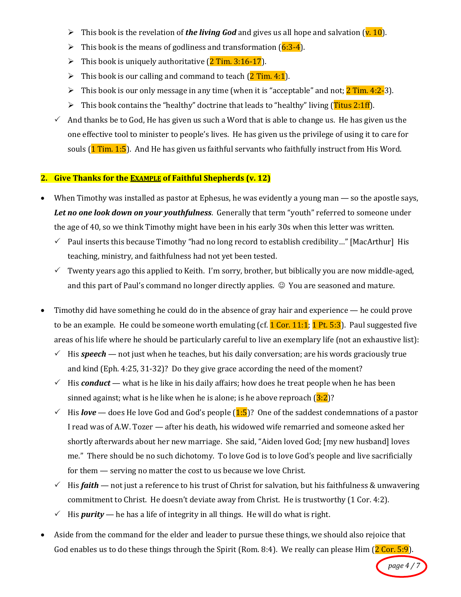- I This book is the revelation of **the living God** and gives us all hope and salvation  $(\mathbf{v. 10})$ .
- It This book is the means of godliness and transformation  $(6:3-4)$ .
- It This book is uniquely authoritative  $(2$  Tim. 3:16-17).
- It This book is our calling and command to teach  $(2 \text{ Tim. } 4:1)$ .
- It is book is our only message in any time (when it is "acceptable" and not;  $2$  Tim. 4:2-3).
- This book contains the "healthy" doctrine that leads to "healthy" living (Titus 2:1ff).
- $\checkmark$  And thanks be to God, He has given us such a Word that is able to change us. He has given us the one effective tool to minister to people's lives. He has given us the privilege of using it to care for souls  $(1$  Tim. 1:5). And He has given us faithful servants who faithfully instruct from His Word.

# **2.** Give Thanks for the **EXAMPLE** of Faithful Shepherds (v. 12)

- When Timothy was installed as pastor at Ephesus, he was evidently a young man so the apostle says, Let no one look down on your youthfulness. Generally that term "youth" referred to someone under the age of 40, so we think Timothy might have been in his early 30s when this letter was written.
	- $\checkmark$  Paul inserts this because Timothy "had no long record to establish credibility..." [MacArthur] His teaching, ministry, and faithfulness had not yet been tested.
	- $\checkmark$  Twenty years ago this applied to Keith. I'm sorry, brother, but biblically you are now middle-aged, and this part of Paul's command no longer directly applies.  $\odot$  You are seasoned and mature.
- Timothy did have something he could do in the absence of gray hair and experience he could prove to be an example. He could be someone worth emulating (cf.  $1$  Cor. 11:1;  $1$  Pt. 5:3). Paul suggested five areas of his life where he should be particularly careful to live an exemplary life (not an exhaustive list):
	- $\checkmark$  His **speech** not just when he teaches, but his daily conversation; are his words graciously true and kind (Eph. 4:25, 31-32)? Do they give grace according the need of the moment?
	- $\checkmark$  His **conduct** what is he like in his daily affairs; how does he treat people when he has been sinned against; what is he like when he is alone; is he above reproach  $(3:2)$ ?
	- $\checkmark$  His *love* does He love God and God's people (1:5)? One of the saddest condemnations of a pastor I read was of A.W. Tozer - after his death, his widowed wife remarried and someone asked her shortly afterwards about her new marriage. She said, "Aiden loved God; [my new husband] loves me." There should be no such dichotomy. To love God is to love God's people and live sacrificially for them  $-$  serving no matter the cost to us because we love Christ.
	- $\checkmark$  His **faith** not just a reference to his trust of Christ for salvation, but his faithfulness & unwavering commitment to Christ. He doesn't deviate away from Christ. He is trustworthy  $(1 \text{ Cor. } 4:2)$ .
	- $\checkmark$  His **purity** he has a life of integrity in all things. He will do what is right.
- Aside from the command for the elder and leader to pursue these things, we should also rejoice that God enables us to do these things through the Spirit (Rom. 8:4). We really can please Him  $(2$  Cor. 5:9).

*page 4 / 7*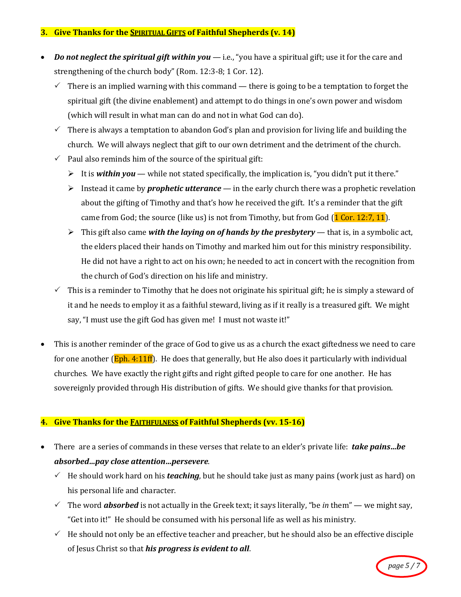## **3. Give Thanks for the SPIRITUAL GIFTS of Faithful Shepherds (v. 14)**

- *Do not neglect the spiritual gift within you* i.e., "you have a spiritual gift; use it for the care and strengthening of the church body" (Rom. 12:3-8; 1 Cor. 12).
	- There is an implied warning with this command there is going to be a temptation to forget the spiritual gift (the divine enablement) and attempt to do things in one's own power and wisdom (which will result in what man can do and not in what God can do).
	- $\checkmark$  There is always a temptation to abandon God's plan and provision for living life and building the church. We will always neglect that gift to our own detriment and the detriment of the church.
	- $\checkmark$  Paul also reminds him of the source of the spiritual gift:
		- It is **within you** while not stated specifically, the implication is, "you didn't put it there."
		- Instead it came by *prophetic utterance* in the early church there was a prophetic revelation about the gifting of Timothy and that's how he received the gift. It's a reminder that the gift came from God; the source (like us) is not from Timothy, but from God  $(1$  Cor. 12:7, 11).
		- $\triangleright$  This gift also came with the laying on of hands by the presbytery that is, in a symbolic act, the elders placed their hands on Timothy and marked him out for this ministry responsibility. He did not have a right to act on his own; he needed to act in concert with the recognition from the church of God's direction on his life and ministry.
	- $\checkmark$  This is a reminder to Timothy that he does not originate his spiritual gift; he is simply a steward of it and he needs to employ it as a faithful steward, living as if it really is a treasured gift. We might say, "I must use the gift God has given me! I must not waste it!"
- This is another reminder of the grace of God to give us as a church the exact giftedness we need to care for one another  $(\text{Eph. 4:11ff})$ . He does that generally, but He also does it particularly with individual churches. We have exactly the right gifts and right gifted people to care for one another. He has sovereignly provided through His distribution of gifts. We should give thanks for that provision.

# **4.** Give Thanks for the **FAITHFULNESS** of Faithful Shepherds (vv. 15-16)

- There are a series of commands in these verses that relate to an elder's private life: **take pains...be** *absorbed…pay close attention…persevere*.
	- $\checkmark$  He should work hard on his *teaching*, but he should take just as many pains (work just as hard) on his personal life and character.
	- $\checkmark$  The word **absorbed** is not actually in the Greek text; it says literally, "be *in* them" we might say, "Get into it!" He should be consumed with his personal life as well as his ministry.
	- $\checkmark$  He should not only be an effective teacher and preacher, but he should also be an effective disciple of Jesus Christ so that *his progress is evident to all*.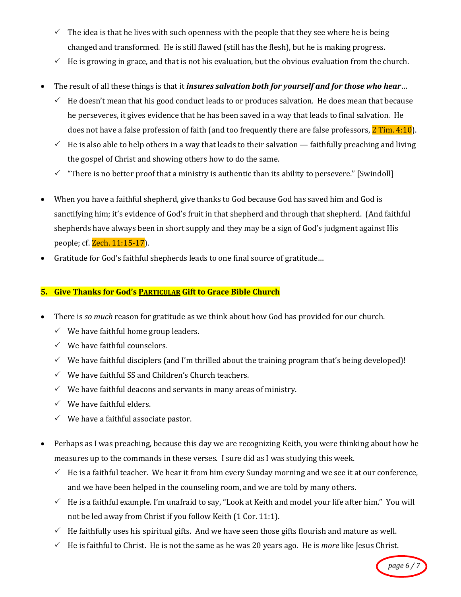- $\checkmark$  The idea is that he lives with such openness with the people that they see where he is being changed and transformed. He is still flawed (still has the flesh), but he is making progress.
- $\checkmark$  He is growing in grace, and that is not his evaluation, but the obvious evaluation from the church.
- The result of all these things is that it *insures salvation both for yourself and for those who hear*...
	- $\checkmark$  He doesn't mean that his good conduct leads to or produces salvation. He does mean that because he perseveres, it gives evidence that he has been saved in a way that leads to final salvation. He does not have a false profession of faith (and too frequently there are false professors,  $2$  Tim. 4:10).
	- $\checkmark$  He is also able to help others in a way that leads to their salvation faithfully preaching and living the gospel of Christ and showing others how to do the same.
	- There is no better proof that a ministry is authentic than its ability to persevere." [Swindoll]
- When you have a faithful shepherd, give thanks to God because God has saved him and God is sanctifying him; it's evidence of God's fruit in that shepherd and through that shepherd. (And faithful shepherds have always been in short supply and they may be a sign of God's judgment against His people; cf. Zech. 11:15-17).
- Gratitude for God's faithful shepherds leads to one final source of gratitude...

# **5. Give Thanks for God's PARTICULAR Gift to Grace Bible Church**

- There is *so much* reason for gratitude as we think about how God has provided for our church.
	- $\checkmark$  We have faithful home group leaders.
	- $\checkmark$  We have faithful counselors.
	- $\checkmark$  We have faithful disciplers (and I'm thrilled about the training program that's being developed)!
	- $\checkmark$  We have faithful SS and Children's Church teachers.
	- $\checkmark$  We have faithful deacons and servants in many areas of ministry.
	- $\checkmark$  We have faithful elders.
	- $\checkmark$  We have a faithful associate pastor.
- Perhaps as I was preaching, because this day we are recognizing Keith, you were thinking about how he measures up to the commands in these verses. I sure did as I was studying this week.
	- $\checkmark$  He is a faithful teacher. We hear it from him every Sunday morning and we see it at our conference, and we have been helped in the counseling room, and we are told by many others.
	- $\checkmark$  He is a faithful example. I'm unafraid to say, "Look at Keith and model your life after him." You will not be led away from Christ if you follow Keith (1 Cor. 11:1).
	- $\checkmark$  He faithfully uses his spiritual gifts. And we have seen those gifts flourish and mature as well.
	- $\checkmark$  He is faithful to Christ. He is not the same as he was 20 years ago. He is *more* like Jesus Christ.